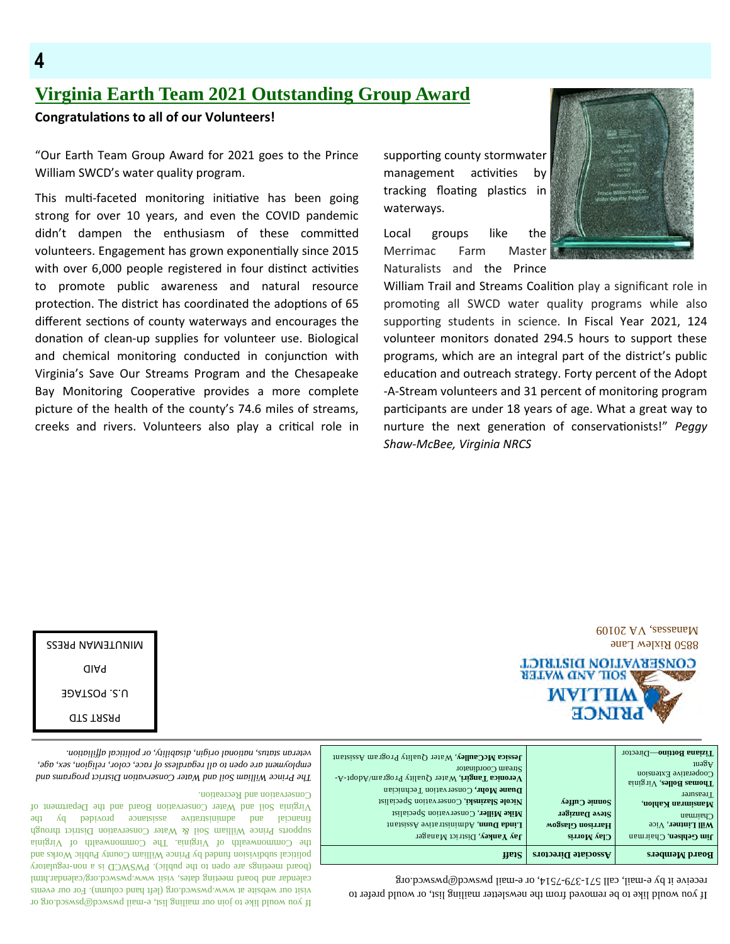# **Virginia Earth Team 2021 Outstanding Group Award**

#### **Congratulations to all of our Volunteers!**

"Our Earth Team Group Award for 2021 goes to the Prince William SWCD's water quality program.

This multi-faceted monitoring initiative has been going strong for over 10 years, and even the COVID pandemic didn't dampen the enthusiasm of these committed volunteers. Engagement has grown exponentially since 2015 with over 6,000 people registered in four distinct activities to promote public awareness and natural resource protection. The district has coordinated the adoptions of 65 different sections of county waterways and encourages the donation of clean-up supplies for volunteer use. Biological and chemical monitoring conducted in conjunction with Virginia's Save Our Streams Program and the Chesapeake Bay Monitoring Cooperative provides a more complete picture of the health of the county's 74.6 miles of streams, creeks and rivers. Volunteers also play a critical role in

supporting county stormwater management activities by tracking floating plastics in waterways.

Local groups like the Merrimac Farm Master Naturalists and the Prince

William Trail and Streams Coalition play a significant role in promoting all SWCD water quality programs while also supporting students in science. In Fiscal Year 2021, 124 volunteer monitors donated 294.5 hours to support these programs, which are an integral part of the district's public education and outreach strategy. Forty percent of the Adopt -A-Stream volunteers and 31 percent of monitoring program participants are under 18 years of age. What a great way to nurture the next generation of conservationists!" *Peggy Shaw-McBee, Virginia NRCS*

> 8850 Rixlew Lane **CONSEBANIJON DISJIBICI**

Manassas, VA <sup>20109</sup>



| Jessica McCaulley, Water Quality Program Assistant<br>Stream Coordinator<br>Veronica Tangiri, Water Quality Program/Adopt-A-<br>Duane Mohr, Conservation Technician<br>Nicole Slazinski, Conservation Specialist<br>Mike Miller, Conservation Specialist<br>Linda Dunn, Administrative Assistant<br>Jay Yankey, District Manager | Sonnie Cuffey<br>Steve Danizer<br><b>Wogasl</b> D nosirnaH<br><b>Clay Morris</b> | Tiziana Bottino-Director<br>1098A<br>Cooperative Extension<br>ninig niV , esllo H annonT<br>Teasurer<br>Manimran Kahlon,<br><b>Chairman</b><br>Will Lintner, $V$ ice<br>Jim Gehlsen, Chairman |
|----------------------------------------------------------------------------------------------------------------------------------------------------------------------------------------------------------------------------------------------------------------------------------------------------------------------------------|----------------------------------------------------------------------------------|-----------------------------------------------------------------------------------------------------------------------------------------------------------------------------------------------|
| <b>Hai</b> Z                                                                                                                                                                                                                                                                                                                     | Associate Directors                                                              | <b>Board Members</b>                                                                                                                                                                          |

If you would like to be removed from the newsletter mailing list, or would prefer to receive it by e-mail, call 571-7514, or e-mail pwswcd@pwswcd.org

mail pwswscd.org or monitored is the top of passed.org or  $\mathbb S$  or  $\mathbb S$  or  $\mathbb S$  or  $\mathbb S$  or  $\mathbb S$  or  $\mathbb S$  or  $\mathbb S$  or  $\mathbb S$  or  $\mathbb S$  or  $\mathbb S$  or  $\mathbb S$  or  $\mathbb S$  or  $\mathbb S$  or  $\mathbb S$  or  $\mathbb S$  or  $\mathbb S$  or  $\mathbb$ visit our website at www.pwswcd.org (left hand column). For our events calendar and board meeting dates, visit www.pwswcd.org/calendar.html regulatory - (board meetings are open to the public). PWSWCD is <sup>a</sup> non political subdivision funded by Prince Milliam County Public Works and the Commonwealth of Virginia. The Commonwealth of Virginia. supports Prince William Soil & Water Conservation District through financial and administrative assistance provided by the Virginia Soil and Water Conservation Board and the Department of Conservation and Recreation.

*The Prince William Soil and Water Conservation District programs and* employment are open to all regardless of race, color, religion, sex, age, *veteran status, national origin, disability, or political affiliation.*

PRSRT STD U.S. POSTAGE PAID MINUTEMAN PRESS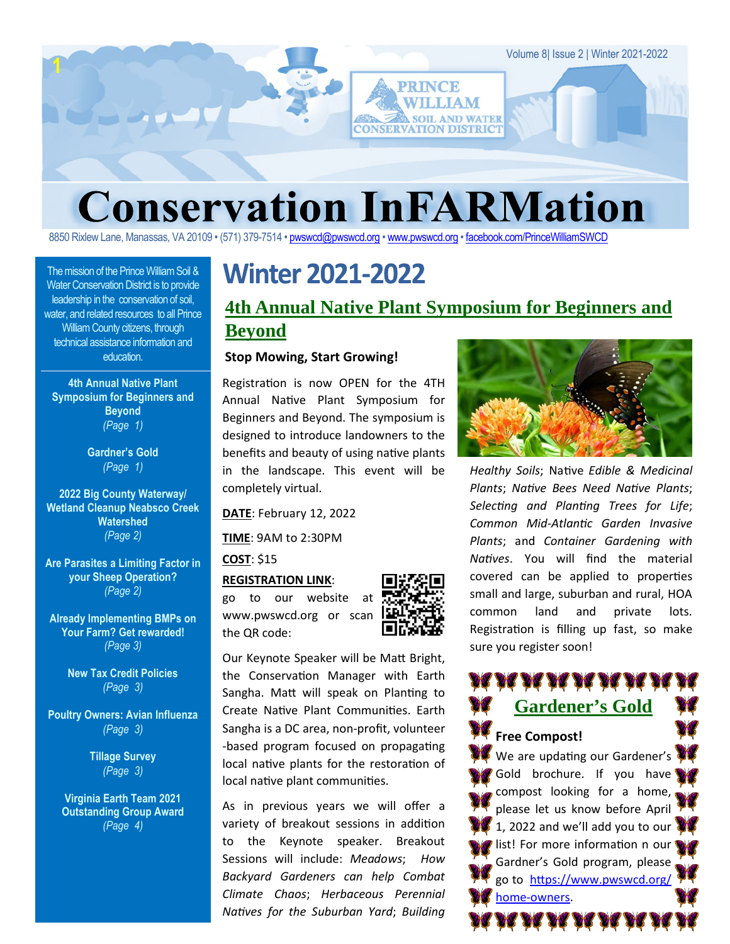

# **Conservation InFARMation**

8850 Rixlew Lane, Manassas, VA 20109 • (571) 379-7514 • pwswcd@pwswcd.org • www.pwswcd.org • facebook.com/PrinceWilliamSWCD

The mission of the Prince William Soil & Water Conservation District is to provide leadership in the conservation of soil, water, and related resources to all Prince William County citizens, through technical assistance information and education.

**4th Annual Native Plant Symposium for Beginners and Beyond** *(Page 1)*

> **Gardner's Gold** *(Page 1)*

**2022 Big County Waterway/ Wetland Cleanup Neabsco Creek Watershed** *(Page 2)*

**Are Parasites a Limiting Factor in your Sheep Operation?** *(Page 2)*

**Already Implementing BMPs on Your Farm? Get rewarded!** *(Page 3)*

> **New Tax Credit Policies** *(Page 3)*

**Poultry Owners: Avian Influenza** *(Page 3)*

> **Tillage Survey** *(Page 3)*

**Virginia Earth Team 2021 Outstanding Group Award** *(Page 4)*

# **Winter 2021-2022**

### **4th Annual Native Plant Symposium for Beginners and Beyond**

#### **Stop Mowing, Start Growing!**

Registration is now OPEN for the 4TH Annual Native Plant Symposium for Beginners and Beyond. The symposium is designed to introduce landowners to the benefits and beauty of using native plants in the landscape. This event will be completely virtual.

**DATE**: February 12, 2022

**TIME**: 9AM to 2:30PM

**COST**: \$15

#### **REGISTRATION LINK**:

go to our website at www.pwswcd.org or scan the QR code:



Our Keynote Speaker will be Matt Bright, the Conservation Manager with Earth Sangha. Matt will speak on Planting to Create Native Plant Communities. Earth Sangha is a DC area, non-profit, volunteer -based program focused on propagating local native plants for the restoration of local native plant communities.

As in previous years we will offer a variety of breakout sessions in addition to the Keynote speaker. Breakout Sessions will include: *Meadows*; *How Backyard Gardeners can help Combat Climate Chaos*; *Herbaceous Perennial Naves for the Suburban Yard*; *Building*



*Healthy Soils*; Native *Edible & Medicinal Plants*; *Native Bees Need Native Plants*; *Selecng and Planng Trees for Life*; *Common Mid-Atlanc Garden Invasive Plants*; and *Container Gardening with Natives*. You will find the material covered can be applied to properties small and large, suburban and rural, HOA common land and private lots. Registration is filling up fast, so make sure you register soon!

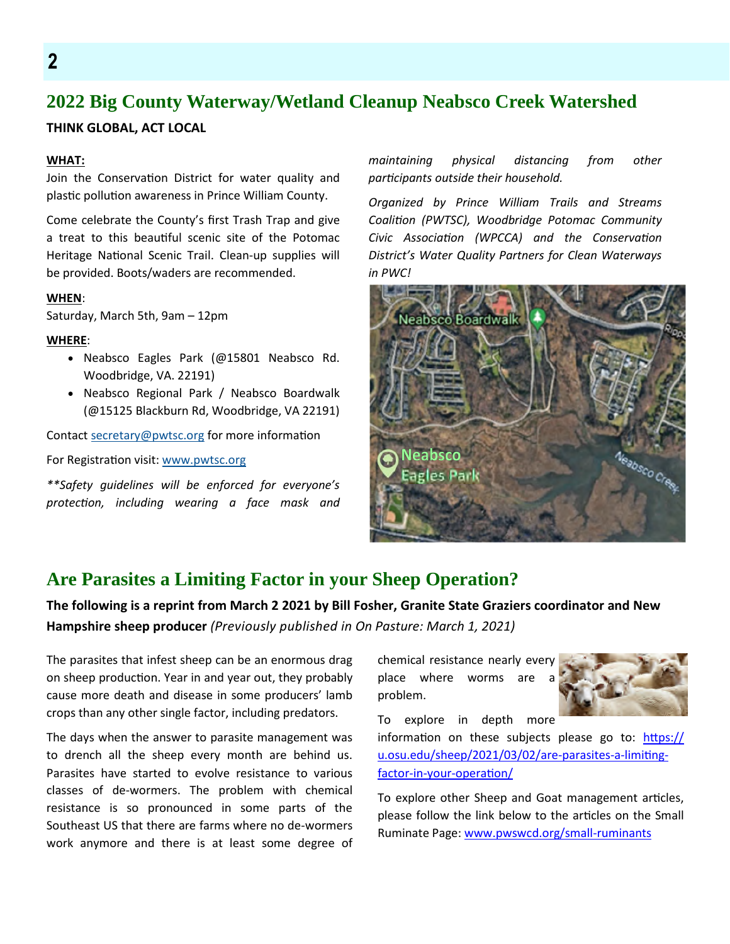## **2022 Big County Waterway/Wetland Cleanup Neabsco Creek Watershed**

#### **THINK GLOBAL, ACT LOCAL**

#### **WHAT:**

Join the Conservation District for water quality and plastic pollution awareness in Prince William County.

Come celebrate the County's first Trash Trap and give a treat to this beautiful scenic site of the Potomac Heritage National Scenic Trail. Clean-up supplies will be provided. Boots/waders are recommended.

#### **WHEN**:

Saturday, March 5th, 9am – 12pm

#### **WHERE**:

- Neabsco Eagles Park (@15801 Neabsco Rd. Woodbridge, VA. 22191)
- Neabsco Regional Park / Neabsco Boardwalk (@15125 Blackburn Rd, Woodbridge, VA 22191)

Contact secretary@pwtsc.org for more information

For Registration visit: www.pwtsc.org

*\*\*Safety guidelines will be enforced for everyone's protecon, including wearing a face mask and* *maintaining physical distancing from other parcipants outside their household.*

*Organized by Prince William Trails and Streams Coalion (PWTSC), Woodbridge Potomac Community Civic Association (WPCCA) and the Conservation District's Water Quality Partners for Clean Waterways in PWC!*



### **Are Parasites a Limiting Factor in your Sheep Operation?**

**The following is a reprint from March 2 2021 by Bill Fosher, Granite State Graziers coordinator and New Hampshire sheep producer** *(Previously published in On Pasture: March 1, 2021)*

The parasites that infest sheep can be an enormous drag on sheep production. Year in and year out, they probably cause more death and disease in some producers' lamb crops than any other single factor, including predators.

The days when the answer to parasite management was to drench all the sheep every month are behind us. Parasites have started to evolve resistance to various classes of de-wormers. The problem with chemical resistance is so pronounced in some parts of the Southeast US that there are farms where no de-wormers work anymore and there is at least some degree of chemical resistance nearly every place where worms are a problem.



To explore in depth more

information on these subjects please go to:  $\frac{https://}{https://}$ u.osu.edu/sheep/2021/03/02/are-parasites-a-limitingfactor-in-your-operation/

To explore other Sheep and Goat management articles, please follow the link below to the articles on the Small Ruminate Page: www.pwswcd.org/small-ruminants